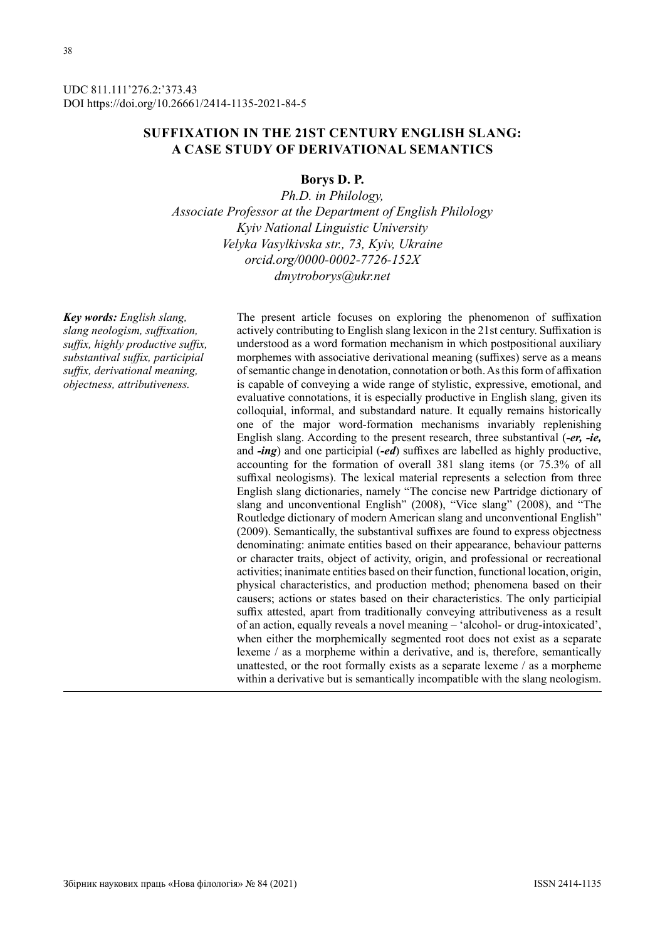UDC 811.111'276.2:'373.43 DOI https://doi.org/10.26661/2414-1135-2021-84-5

# **SUFFIXATION IN THE 21ST CENTURY ENGLISH SLANG: A CASE STUDY OF DERIVATIONAL SEMANTICS**

### **Borys D. P.**

*Ph.D. in Philology, Associate Professor at the Department of English Philology Kyiv National Linguistic University Velyka Vasylkivska str., 73, Kyiv, Ukraine orcid.org/0000-0002-7726-152X dmytroborys@ukr.net*

*Key words: English slang, slang neologism, suffixation, suffix, highly productive suffix, substantival suffix, participial suffix, derivational meaning, objectness, attributiveness.*

The present article focuses on exploring the phenomenon of suffixation actively contributing to English slang lexicon in the 21st century. Suffixation is understood as a word formation mechanism in which postpositional auxiliary morphemes with associative derivational meaning (suffixes) serve as a means of semantic change in denotation, connotation or both. As this form of affixation is capable of conveying a wide range of stylistic, expressive, emotional, and evaluative connotations, it is especially productive in English slang, given its colloquial, informal, and substandard nature. It equally remains historically one of the major word-formation mechanisms invariably replenishing English slang. According to the present research, three substantival (*-er, -ie,*  and *-ing*) and one participial (*-ed*) suffixes are labelled as highly productive, accounting for the formation of overall 381 slang items (or 75.3% of all suffixal neologisms). The lexical material represents a selection from three English slang dictionaries, namely "The concise new Partridge dictionary of slang and unconventional English" (2008), "Vice slang" (2008), and "The Routledge dictionary of modern American slang and unconventional English" (2009). Semantically, the substantival suffixes are found to express objectness denominating: animate entities based on their appearance, behaviour patterns or character traits, object of activity, origin, and professional or recreational activities; inanimate entities based on their function, functional location, origin, physical characteristics, and production method; phenomena based on their causers; actions or states based on their characteristics. The only participial suffix attested, apart from traditionally conveying attributiveness as a result of an action, equally reveals a novel meaning – 'alcohol- or drug-intoxicated', when either the morphemically segmented root does not exist as a separate lexeme / as a morpheme within a derivative, and is, therefore, semantically unattested, or the root formally exists as a separate lexeme / as a morpheme within a derivative but is semantically incompatible with the slang neologism.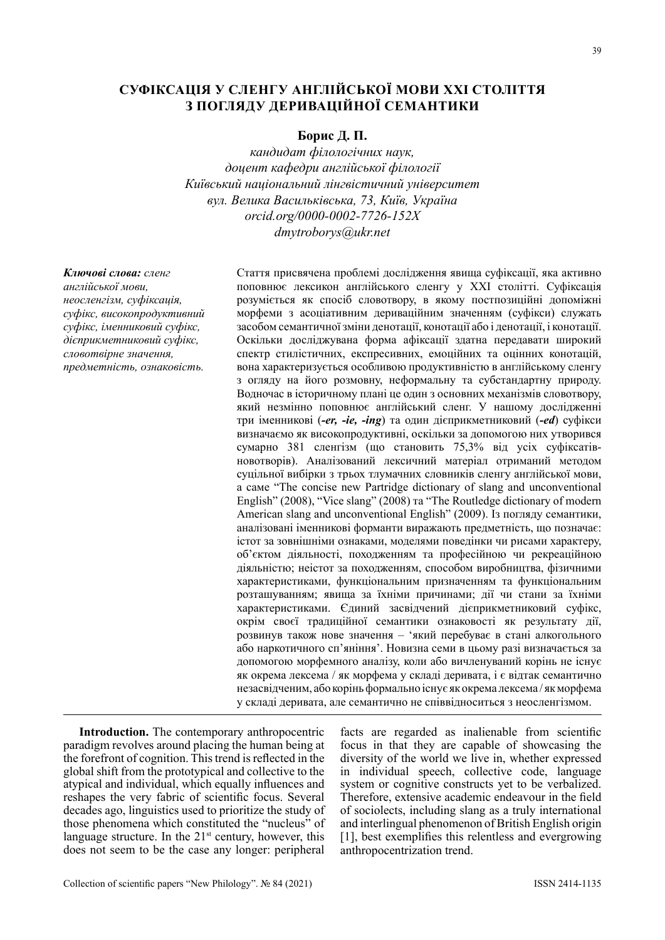# **СУФІКСАЦІЯ У СЛЕНГУ АНГЛІЙСЬКОЇ МОВИ ХХІ СТОЛІТТЯ З ПОГЛЯДУ ДЕРИВАЦІЙНОЇ СЕМАНТИКИ**

### **Борис Д. П.**

*кандидат філологічних наук, доцент кафедри англійської філології Київський національний лінгвістичний університет вул. Велика Васильківська, 73, Київ, Україна orcid.org/0000-0002-7726-152X dmytroborys@ukr.net*

*Ключові слова: сленг англійської мови, неосленгізм, суфіксація, суфікс, високопродуктивний суфікс, іменниковий суфікс, дієприкметниковий суфікс, словотвірне значення, предметність, ознаковість.*

Стаття присвячена проблемі дослідження явища суфіксації, яка активно поповнює лексикон англійського сленгу у ХХІ столітті. Суфіксація розуміється як спосіб словотвору, в якому постпозиційні допоміжні морфеми з асоціативним дериваційним значенням (суфікси) служать засобом семантичної зміни денотації, конотації або і денотації, і конотації. Оскільки досліджувана форма афіксації здатна передавати широкий спектр стилістичних, експресивних, емоційних та оцінних конотацій, вона характеризується особливою продуктивністю в англійському сленгу з огляду на його розмовну, неформальну та субстандартну природу. Водночас в історичному плані це один з основних механізмів словотвору, який незмінно поповнює англійський сленг. У нашому дослідженні три іменникові (*-er, -ie, -ing*) та один дієприкметниковий (*-ed*) суфікси визначаємо як високопродуктивні, оскільки за допомогою них утворився сумарно 381 сленгізм (що становить 75,3% від усіх суфіксатівновотворів). Аналізований лексичний матеріал отриманий методом суцільної вибірки з трьох тлумачних словників сленгу англійської мови, а саме "The concise new Partridge dictionary of slang and unconventional English" (2008), "Vice slang" (2008) та "The Routledge dictionary of modern American slang and unconventional English" (2009). Із погляду семантики, аналізовані іменникові форманти виражають предметність, що позначає: істот за зовнішніми ознаками, моделями поведінки чи рисами характеру, об'єктом діяльності, походженням та професійною чи рекреаційною діяльністю; неістот за походженням, способом виробництва, фізичними характеристиками, функціональним призначенням та функціональним розташуванням; явища за їхніми причинами; дії чи стани за їхніми характеристиками. Єдиний засвідчений дієприкметниковий суфікс, окрім своєї традиційної семантики ознаковості як результату дії, розвинув також нове значення – 'який перебуває в стані алкогольного або наркотичного сп'яніння'. Новизна семи в цьому разі визначається за допомогою морфемного аналізу, коли або вичленуваний корінь не існує як окрема лексема / як морфема у складі деривата, і є відтак семантично незасвідченим, або корінь формально існує як окрема лексема / як морфема у складі деривата, але семантично не співвідноситься з неосленгізмом.

**Introduction.** The contemporary anthropocentric paradigm revolves around placing the human being at the forefront of cognition. This trend is reflected in the global shift from the prototypical and collective to the atypical and individual, which equally influences and reshapes the very fabric of scientific focus. Several decades ago, linguistics used to prioritize the study of those phenomena which constituted the "nucleus" of language structure. In the  $21<sup>st</sup>$  century, however, this does not seem to be the case any longer: peripheral

facts are regarded as inalienable from scientific focus in that they are capable of showcasing the diversity of the world we live in, whether expressed in individual speech, collective code, language system or cognitive constructs yet to be verbalized. Therefore, extensive academic endeavour in the field of sociolects, including slang as a truly international and interlingual phenomenon of British English origin [1], best exemplifies this relentless and evergrowing anthropocentrization trend.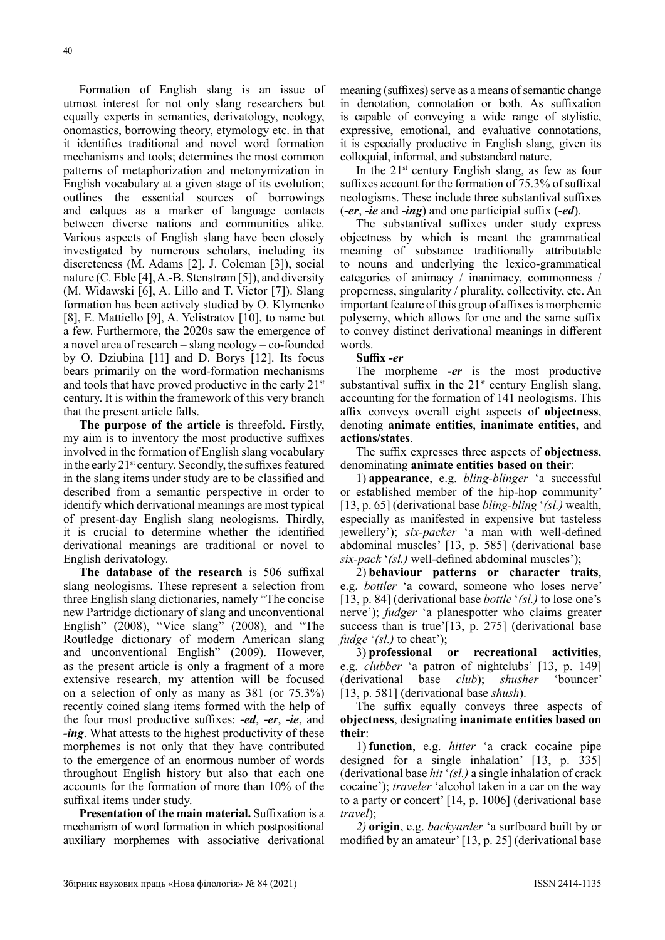Formation of English slang is an issue of utmost interest for not only slang researchers but equally experts in semantics, derivatology, neology, onomastics, borrowing theory, etymology etc. in that it identifies traditional and novel word formation mechanisms and tools; determines the most common patterns of metaphorization and metonymization in English vocabulary at a given stage of its evolution; outlines the essential sources of borrowings and calques as a marker of language contacts between diverse nations and communities alike. Various aspects of English slang have been closely investigated by numerous scholars, including its discreteness (M. Adams [2], J. Coleman [3]), social nature (C. Eble [4], A.-B. Stenstrøm [5]), and diversity (M. Widawski [6], A. Lillo and T. Victor [7]). Slang formation has been actively studied by O. Klymenko [8], E. Mattiello [9], A. Yelistratov [10], to name but a few. Furthermore, the 2020s saw the emergence of a novel area of research – slang neology – co-founded by O. Dziubina [11] and D. Borys [12]. Its focus bears primarily on the word-formation mechanisms and tools that have proved productive in the early  $21<sup>st</sup>$ century. It is within the framework of this very branch that the present article falls.

**The purpose of the article** is threefold. Firstly, my aim is to inventory the most productive suffixes involved in the formation of English slang vocabulary in the early  $21^{st}$  century. Secondly, the suffixes featured in the slang items under study are to be classified and described from a semantic perspective in order to identify which derivational meanings are most typical of present-day English slang neologisms. Thirdly, it is crucial to determine whether the identified derivational meanings are traditional or novel to English derivatology.

**The database of the research** is 506 suffixal slang neologisms. These represent a selection from three English slang dictionaries, namely "The concise new Partridge dictionary of slang and unconventional English" (2008), "Vice slang" (2008), and "The Routledge dictionary of modern American slang and unconventional English" (2009). However, as the present article is only a fragment of a more extensive research, my attention will be focused on a selection of only as many as 381 (or 75.3%) recently coined slang items formed with the help of the four most productive suffixes: *-ed*, *-er*, *-ie*, and *-ing*. What attests to the highest productivity of these morphemes is not only that they have contributed to the emergence of an enormous number of words throughout English history but also that each one accounts for the formation of more than 10% of the suffixal items under study.

**Presentation of the main material.** Suffixation is a mechanism of word formation in which postpositional auxiliary morphemes with associative derivational meaning (suffixes) serve as a means of semantic change in denotation, connotation or both. As suffixation is capable of conveying a wide range of stylistic, expressive, emotional, and evaluative connotations, it is especially productive in English slang, given its colloquial, informal, and substandard nature.

In the  $21^{st}$  century English slang, as few as four suffixes account for the formation of 75.3% of suffixal neologisms. These include three substantival suffixes (*-er*, *-ie* and *-ing*) and one participial suffix (*-ed*).

The substantival suffixes under study express objectness by which is meant the grammatical meaning of substance traditionally attributable to nouns and underlying the lexico-grammatical categories of animacy / inanimacy, commonness / properness, singularity / plurality, collectivity, etc. An important feature of this group of affixes is morphemic polysemy, which allows for one and the same suffix to convey distinct derivational meanings in different words.

#### **Suffix** *-er*

The morpheme *-er* is the most productive substantival suffix in the  $21<sup>st</sup>$  century English slang, accounting for the formation of 141 neologisms. This affix conveys overall eight aspects of **objectness**, denoting **animate entities**, **inanimate entities**, and **actions/states**.

The suffix expresses three aspects of **objectness**, denominating **animate entities based on their**:

1) **appearance**, e.g. *bling-blinger* 'a successful or established member of the hip-hop community' [13, p. 65] (derivational base *bling-bling* '*(sl.)* wealth, especially as manifested in expensive but tasteless jewellery'); *six-packer* 'a man with well-defined abdominal muscles' [13, p. 585] (derivational base *six-pack* '*(sl.)* well-defined abdominal muscles');

2) **behaviour patterns or character traits**, e.g. *bottler* 'a coward, someone who loses nerve' [13, p. 84] (derivational base *bottle* '*(sl.)* to lose one's nerve'); *fudger* 'a planespotter who claims greater success than is true'[13, p. 275] (derivational base *fudge* '*(sl.)* to cheat');

3) **professional or recreational activities**, e.g. *clubber* 'a patron of nightclubs' [13, p. 149] (derivational base *club*); *shusher* 'bouncer' [13, p. 581] (derivational base *shush*).

The suffix equally conveys three aspects of **objectness**, designating **inanimate entities based on their**:

1) **function**, e.g. *hitter* 'a crack cocaine pipe designed for a single inhalation' [13, p. 335] (derivational base *hit* '*(sl.)* a single inhalation of crack cocaine'); *traveler* 'alcohol taken in a car on the way to a party or concert' [14, p. 1006] (derivational base *travel*);

*2)* **origin**, e.g. *backyarder* 'a surfboard built by or modified by an amateur' [13, p. 25] (derivational base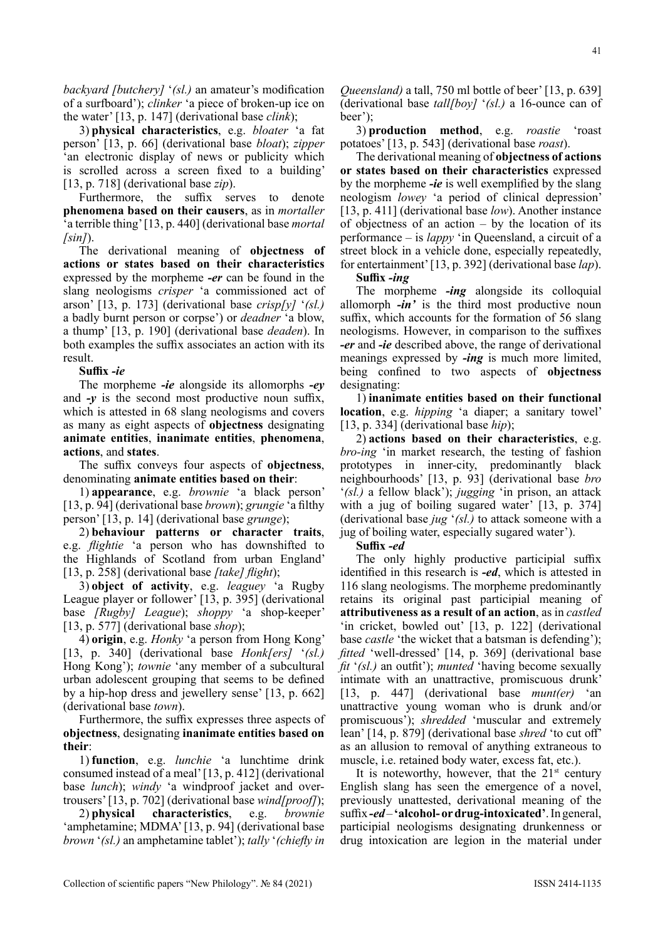*backyard [butchery]* '*(sl.)* an amateur's modification of a surfboard'); *clinker* 'a piece of broken-up ice on the water' [13, p. 147] (derivational base *clink*);

3) **physical characteristics**, e.g. *bloater* 'a fat person' [13, p. 66] (derivational base *bloat*); *zipper* 'an electronic display of news or publicity which is scrolled across a screen fixed to a building' [13, p. 718] (derivational base *zip*).

Furthermore, the suffix serves to denote **phenomena based on their causers**, as in *mortaller* 'a terrible thing' [13, p. 440] (derivational base *mortal [sin]*).

The derivational meaning of **objectness of actions or states based on their characteristics** expressed by the morpheme *-er* can be found in the slang neologisms *crisper* 'a commissioned act of arson' [13, p. 173] (derivational base *crisp[y]* '*(sl.)* a badly burnt person or corpse') or *deadner* 'a blow, a thump' [13, p. 190] (derivational base *deaden*). In both examples the suffix associates an action with its result.

#### **Suffix** *-ie*

The morpheme *-ie* alongside its allomorphs *-ey* and *-y* is the second most productive noun suffix, which is attested in 68 slang neologisms and covers as many as eight aspects of **objectness** designating **animate entities**, **inanimate entities**, **phenomena**, **actions**, and **states**.

The suffix conveys four aspects of **objectness**, denominating **animate entities based on their**:

1) **appearance**, e.g. *brownie* 'a black person' [13, p. 94] (derivational base *brown*); *grungie* 'a filthy person' [13, p. 14] (derivational base *grunge*);

2) **behaviour patterns or character traits**, e.g. *flightie* 'a person who has downshifted to the Highlands of Scotland from urban England' [13, p. 258] (derivational base *[take] flight*);

3) **object of activity**, e.g. *leaguey* 'a Rugby League player or follower' [13, p. 395] (derivational base *[Rugby] League*); *shoppy* 'a shop-keeper' [13, p. 577] (derivational base *shop*);

4) **origin**, e.g. *Honky* 'a person from Hong Kong' [13, p. 340] (derivational base *Honk[ers]* '*(sl.)* Hong Kong'); *townie* 'any member of a subcultural urban adolescent grouping that seems to be defined by a hip-hop dress and jewellery sense' [13, p. 662] (derivational base *town*).

Furthermore, the suffix expresses three aspects of **objectness**, designating **inanimate entities based on their**:

1) **function**, e.g. *lunchie* 'a lunchtime drink consumed instead of a meal' [13, p. 412] (derivational base *lunch*); *windy* 'a windproof jacket and overtrousers' [13, p. 702] (derivational base *wind[proof]*);

2) **physical characteristics**, e.g. *brownie* 'amphetamine; MDMA' [13, p. 94] (derivational base *brown* '*(sl.)* an amphetamine tablet'); *tally* '*(chiefly in* 

*Queensland)* a tall, 750 ml bottle of beer' [13, p. 639] (derivational base *tall[boy]* '*(sl.)* a 16-ounce can of beer');

3) **production method**, e.g. *roastie* 'roast potatoes' [13, p. 543] (derivational base *roast*).

The derivational meaning of **objectness of actions or states based on their characteristics** expressed by the morpheme *-ie* is well exemplified by the slang neologism *lowey* 'a period of clinical depression' [13, p. 411] (derivational base *low*). Another instance of objectness of an action  $-$  by the location of its performance – is *lappy* 'in Queensland, a circuit of a street block in a vehicle done, especially repeatedly, for entertainment' [13, p. 392] (derivational base *lap*).

**Suffix** *-ing*

The morpheme *-ing* alongside its colloquial allomorph *-in'* is the third most productive noun suffix, which accounts for the formation of 56 slang neologisms. However, in comparison to the suffixes *-er* and *-ie* described above, the range of derivational meanings expressed by *-ing* is much more limited, being confined to two aspects of **objectness** designating:

1) **inanimate entities based on their functional location**, e.g. *hipping* 'a diaper; a sanitary towel' [13, p. 334] (derivational base *hip*);

2) **actions based on their characteristics**, e.g. *bro-ing* 'in market research, the testing of fashion prototypes in inner-city, predominantly black neighbourhoods' [13, p. 93] (derivational base *bro* '*(sl.)* a fellow black'); *jugging* 'in prison, an attack with a jug of boiling sugared water' [13, p. 374] (derivational base *jug* '*(sl.)* to attack someone with a jug of boiling water, especially sugared water').

#### **Suffix** *-ed*

The only highly productive participial suffix identified in this research is *-ed*, which is attested in 116 slang neologisms. The morpheme predominantly retains its original past participial meaning of **attributiveness as a result of an action**, as in *castled* 'in cricket, bowled out' [13, p. 122] (derivational base *castle* 'the wicket that a batsman is defending'); *fitted* 'well-dressed' [14, p. 369] (derivational base *fit* '*(sl.)* an outfit'); *munted* 'having become sexually intimate with an unattractive, promiscuous drunk' [13, p. 447] (derivational base *munt(er)* 'an unattractive young woman who is drunk and/or promiscuous'); *shredded* 'muscular and extremely lean' [14, p. 879] (derivational base *shred* 'to cut off' as an allusion to removal of anything extraneous to muscle, i.e. retained body water, excess fat, etc.).

It is noteworthy, however, that the  $21<sup>st</sup>$  century English slang has seen the emergence of a novel, previously unattested, derivational meaning of the suffix *-ed* – **'alcohol- or drug-intoxicated'**. In general, participial neologisms designating drunkenness or drug intoxication are legion in the material under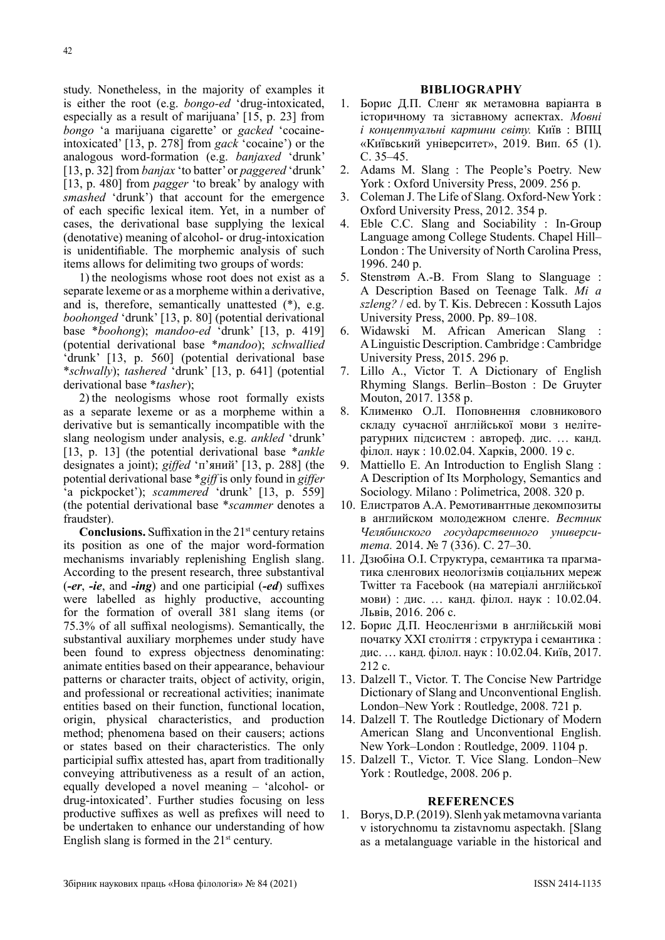study. Nonetheless, in the majority of examples it is either the root (e.g. *bongo-ed* 'drug-intoxicated, especially as a result of marijuana' [15, p. 23] from *bongo* 'a marijuana cigarette' or *gacked* 'cocaineintoxicated' [13, p. 278] from *gack* 'cocaine') or the analogous word-formation (e.g. *banjaxed* 'drunk' [13, p. 32] from *banjax* 'to batter' or *paggered* 'drunk' [13, p. 480] from *pagger* 'to break' by analogy with *smashed* 'drunk') that account for the emergence of each specific lexical item. Yet, in a number of cases, the derivational base supplying the lexical (denotative) meaning of alcohol- or drug-intoxication is unidentifiable. The morphemic analysis of such items allows for delimiting two groups of words:

1) the neologisms whose root does not exist as a separate lexeme or as a morpheme within a derivative, and is, therefore, semantically unattested (\*), e.g. *boohonged* 'drunk' [13, p. 80] (potential derivational base \**boohong*); *mandoo-ed* 'drunk' [13, p. 419] (potential derivational base \**mandoo*); *schwallied*  'drunk' [13, p. 560] (potential derivational base \**schwally*); *tashered* 'drunk' [13, p. 641] (potential derivational base \**tasher*);

2) the neologisms whose root formally exists as a separate lexeme or as a morpheme within a derivative but is semantically incompatible with the slang neologism under analysis, e.g. *ankled* 'drunk' [13, p. 13] (the potential derivational base \**ankle* designates a joint); *giffed* 'п'яний' [13, p. 288] (the potential derivational base \**giff* is only found in *giffer* 'a pickpocket'); *scammered* 'drunk' [13, p. 559] (the potential derivational base \**scammer* denotes a fraudster).

**Conclusions.** Suffixation in the  $21<sup>st</sup>$  century retains its position as one of the major word-formation mechanisms invariably replenishing English slang. According to the present research, three substantival (*-er*, *-ie*, and *-ing*) and one participial (*-ed*) suffixes were labelled as highly productive, accounting for the formation of overall 381 slang items (or 75.3% of all suffixal neologisms). Semantically, the substantival auxiliary morphemes under study have been found to express objectness denominating: animate entities based on their appearance, behaviour patterns or character traits, object of activity, origin, and professional or recreational activities; inanimate entities based on their function, functional location, origin, physical characteristics, and production method; phenomena based on their causers; actions or states based on their characteristics. The only participial suffix attested has, apart from traditionally conveying attributiveness as a result of an action, equally developed a novel meaning – 'alcohol- or drug-intoxicated'. Further studies focusing on less productive suffixes as well as prefixes will need to be undertaken to enhance our understanding of how English slang is formed in the  $21<sup>st</sup>$  century.

#### **BIBLIOGRAPHY**

- 1. Борис Д.П. Сленг як метамовна варіанта в історичному та зіставному аспектах. *Мовні і концептуальні картини світу.* Київ : ВПЦ «Київський університет», 2019. Вип. 65 (1). C. 35–45.
- 2. Adams M. Slang : The People's Poetry. New York : Oxford University Press, 2009. 256 p.
- 3. Coleman J. The Life of Slang. Oxford-New York : Oxford University Press, 2012. 354 p.
- 4. Eble C.C. Slang and Sociability : In-Group Language among College Students. Chapel Hill– London : The University of North Carolina Press, 1996. 240 p.
- 5. Stenstrøm A.-B. From Slang to Slanguage : A Description Based on Teenage Talk. *Mi a szleng?* / ed. by T. Kis. Debrecen : Kossuth Lajos University Press, 2000. Pp. 89–108.
- 6. Widawski M. African American Slang : A Linguistic Description. Cambridge : Cambridge University Press, 2015. 296 p.
- 7. Lillo A., Victor T. A Dictionary of English Rhyming Slangs. Berlin–Boston : De Gruyter Mouton, 2017. 1358 p.
- 8. Клименко О.Л. Поповнення словникового складу сучасної англійської мови з нелітературних підсистем : автореф. дис. … канд. філол. наук : 10.02.04. Харків, 2000. 19 с.
- 9. Mattiello E. An Introduction to English Slang : A Description of Its Morphology, Semantics and Sociology. Milano : Polimetrica, 2008. 320 p.
- 10. Елистратов А.А. Ремотивантные декомпозиты в английском молодежном сленге. *Вестник Челябинского государственного университета.* 2014. № 7 (336). С. 27–30.
- 11. Дзюбіна О.І. Структура, семантика та прагматика сленгових неологізмів соціальних мереж Twitter та Facebook (на матеріалі англійської мови) : дис. … канд. філол. наук : 10.02.04. Львів, 2016. 206 с.
- 12. Борис Д.П. Неосленгізми в англійській мові початку ХХІ століття : структура і семантика : дис. … канд. філол. наук : 10.02.04. Київ, 2017. 212 с.
- 13. Dalzell T., Victor. T. The Concise New Partridge Dictionary of Slang and Unconventional English. London–New York : Routledge, 2008. 721 p.
- 14. Dalzell T. The Routledge Dictionary of Modern American Slang and Unconventional English. New York–London : Routledge, 2009. 1104 p.
- 15. Dalzell T., Victor. T. Vice Slang. London–New York : Routledge, 2008. 206 p.

#### **REFERENCES**

1. Borys, D.P. (2019). Slenh yak metamovna varianta v istorychnomu ta zistavnomu aspectakh. [Slang as a metalanguage variable in the historical and